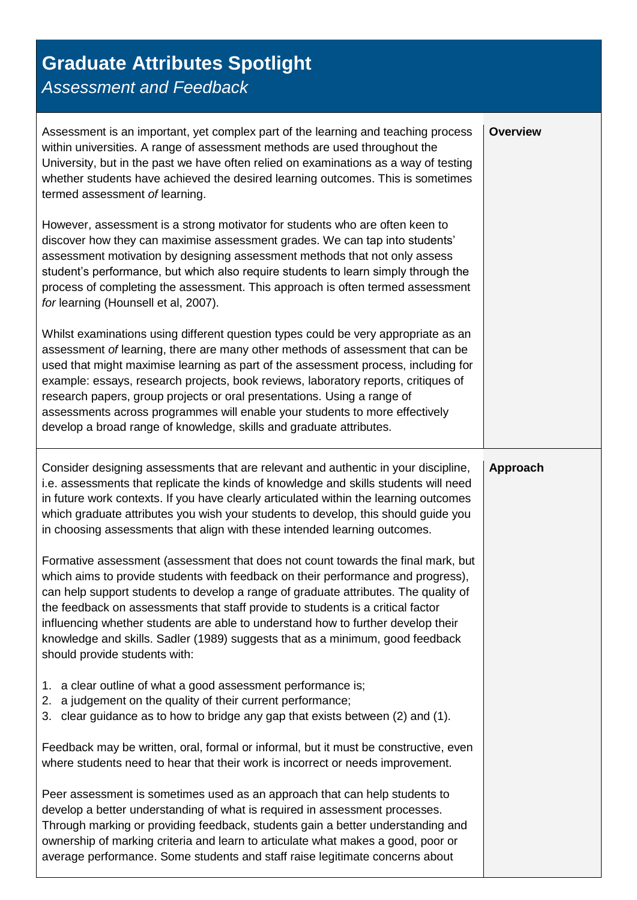## **Graduate Attributes Spotlight**

*Assessment and Feedback*

| Assessment is an important, yet complex part of the learning and teaching process<br>within universities. A range of assessment methods are used throughout the<br>University, but in the past we have often relied on examinations as a way of testing<br>whether students have achieved the desired learning outcomes. This is sometimes<br>termed assessment of learning.                                                                                                                                                                                                      | <b>Overview</b> |
|-----------------------------------------------------------------------------------------------------------------------------------------------------------------------------------------------------------------------------------------------------------------------------------------------------------------------------------------------------------------------------------------------------------------------------------------------------------------------------------------------------------------------------------------------------------------------------------|-----------------|
| However, assessment is a strong motivator for students who are often keen to<br>discover how they can maximise assessment grades. We can tap into students'<br>assessment motivation by designing assessment methods that not only assess<br>student's performance, but which also require students to learn simply through the<br>process of completing the assessment. This approach is often termed assessment<br>for learning (Hounsell et al, 2007).                                                                                                                         |                 |
| Whilst examinations using different question types could be very appropriate as an<br>assessment of learning, there are many other methods of assessment that can be<br>used that might maximise learning as part of the assessment process, including for<br>example: essays, research projects, book reviews, laboratory reports, critiques of<br>research papers, group projects or oral presentations. Using a range of<br>assessments across programmes will enable your students to more effectively<br>develop a broad range of knowledge, skills and graduate attributes. |                 |
| Consider designing assessments that are relevant and authentic in your discipline,<br>i.e. assessments that replicate the kinds of knowledge and skills students will need<br>in future work contexts. If you have clearly articulated within the learning outcomes<br>which graduate attributes you wish your students to develop, this should guide you<br>in choosing assessments that align with these intended learning outcomes.                                                                                                                                            | Approach        |
| Formative assessment (assessment that does not count towards the final mark, but<br>which aims to provide students with feedback on their performance and progress),<br>can help support students to develop a range of graduate attributes. The quality of<br>the feedback on assessments that staff provide to students is a critical factor<br>influencing whether students are able to understand how to further develop their<br>knowledge and skills. Sadler (1989) suggests that as a minimum, good feedback<br>should provide students with:                              |                 |
| a clear outline of what a good assessment performance is;<br>1.<br>a judgement on the quality of their current performance;<br>2.<br>clear guidance as to how to bridge any gap that exists between (2) and (1).<br>3.                                                                                                                                                                                                                                                                                                                                                            |                 |
| Feedback may be written, oral, formal or informal, but it must be constructive, even<br>where students need to hear that their work is incorrect or needs improvement.                                                                                                                                                                                                                                                                                                                                                                                                            |                 |
| Peer assessment is sometimes used as an approach that can help students to<br>develop a better understanding of what is required in assessment processes.<br>Through marking or providing feedback, students gain a better understanding and<br>ownership of marking criteria and learn to articulate what makes a good, poor or<br>average performance. Some students and staff raise legitimate concerns about                                                                                                                                                                  |                 |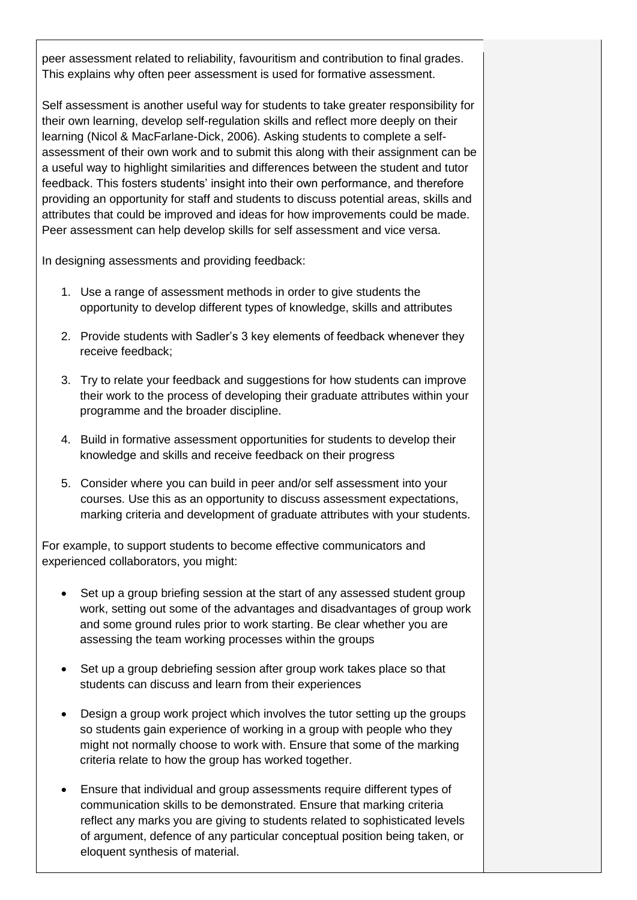peer assessment related to reliability, favouritism and contribution to final grades. This explains why often peer assessment is used for formative assessment.

Self assessment is another useful way for students to take greater responsibility for their own learning, develop self-regulation skills and reflect more deeply on their learning (Nicol & MacFarlane-Dick, 2006). Asking students to complete a selfassessment of their own work and to submit this along with their assignment can be a useful way to highlight similarities and differences between the student and tutor feedback. This fosters students' insight into their own performance, and therefore providing an opportunity for staff and students to discuss potential areas, skills and attributes that could be improved and ideas for how improvements could be made. Peer assessment can help develop skills for self assessment and vice versa.

In designing assessments and providing feedback:

- 1. Use a range of assessment methods in order to give students the opportunity to develop different types of knowledge, skills and attributes
- 2. Provide students with Sadler's 3 key elements of feedback whenever they receive feedback;
- 3. Try to relate your feedback and suggestions for how students can improve their work to the process of developing their graduate attributes within your programme and the broader discipline.
- 4. Build in formative assessment opportunities for students to develop their knowledge and skills and receive feedback on their progress
- 5. Consider where you can build in peer and/or self assessment into your courses. Use this as an opportunity to discuss assessment expectations, marking criteria and development of graduate attributes with your students.

For example, to support students to become effective communicators and experienced collaborators, you might:

- Set up a group briefing session at the start of any assessed student group work, setting out some of the advantages and disadvantages of group work and some ground rules prior to work starting. Be clear whether you are assessing the team working processes within the groups
- Set up a group debriefing session after group work takes place so that students can discuss and learn from their experiences
- Design a group work project which involves the tutor setting up the groups so students gain experience of working in a group with people who they might not normally choose to work with. Ensure that some of the marking criteria relate to how the group has worked together.
- Ensure that individual and group assessments require different types of communication skills to be demonstrated. Ensure that marking criteria reflect any marks you are giving to students related to sophisticated levels of argument, defence of any particular conceptual position being taken, or eloquent synthesis of material.